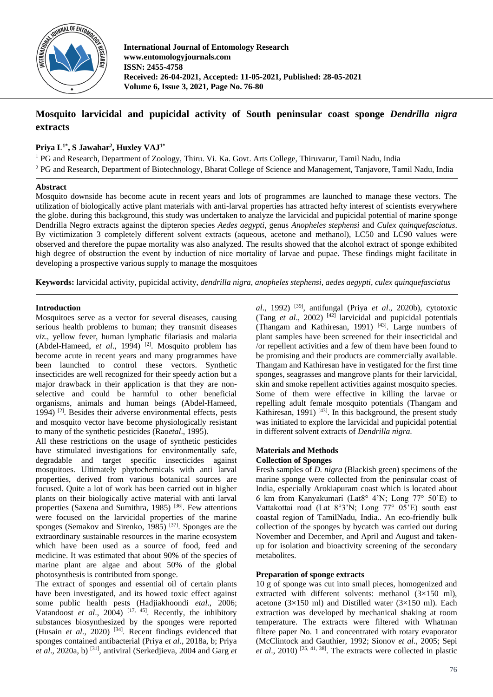

**International Journal of Entomology Research www.entomologyjournals.com ISSN: 2455-4758 Received: 26-04-2021, Accepted: 11-05-2021, Published: 28-05-2021 Volume 6, Issue 3, 2021, Page No. 76-80**

## **Mosquito larvicidal and pupicidal activity of South peninsular coast sponge** *Dendrilla nigra* **extracts**

## **Priya L1\*, S Jawahar<sup>2</sup> , Huxley VAJ1\***

<sup>1</sup> PG and Research, Department of Zoology, Thiru. Vi. Ka. Govt. Arts College, Thiruvarur, Tamil Nadu, India <sup>2</sup> PG and Research, Department of Biotechnology, Bharat College of Science and Management, Tanjavore, Tamil Nadu, India

## **Abstract**

Mosquito downside has become acute in recent years and lots of programmes are launched to manage these vectors. The utilization of biologically active plant materials with anti-larval properties has attracted hefty interest of scientists everywhere the globe. during this background, this study was undertaken to analyze the larvicidal and pupicidal potential of marine sponge Dendrilla Negro extracts against the dipteron species *Aedes aegypti*, genus *Anopheles stephensi* and *Culex quinquefasciatus*. By victimization 3 completely different solvent extracts (aqueous, acetone and methanol), LC50 and LC90 values were observed and therefore the pupae mortality was also analyzed. The results showed that the alcohol extract of sponge exhibited high degree of obstruction the event by induction of nice mortality of larvae and pupae. These findings might facilitate in developing a prospective various supply to manage the mosquitoes

**Keywords:** larvicidal activity, pupicidal activity, *dendrilla nigra*, *anopheles stephensi, aedes aegypti, culex quinquefasciatus*

## **Introduction**

Mosquitoes serve as a vector for several diseases, causing serious health problems to human; they transmit diseases *viz*., yellow fever, human lymphatic filariasis and malaria (Abdel-Hameed, *et al.*, 1994)<sup>[2]</sup>. Mosquito problem has become acute in recent years and many programmes have been launched to control these vectors. Synthetic insecticides are well recognized for their speedy action but a major drawback in their application is that they are nonselective and could be harmful to other beneficial organisms, animals and human beings (Abdel-Hameed, 1994) [2]. Besides their adverse environmental effects, pests and mosquito vector have become physiologically resistant to many of the synthetic pesticides (Rao*etal*., 1995).

All these restrictions on the usage of synthetic pesticides have stimulated investigations for environmentally safe, degradable and target specific insecticides against mosquitoes. Ultimately phytochemicals with anti larval properties, derived from various botanical sources are focused. Quite a lot of work has been carried out in higher plants on their biologically active material with anti larval properties (Saxena and Sumithra, 1985)  $[36]$ . Few attentions were focused on the larvicidal properties of the marine sponges (Semakov and Sirenko, 1985)<sup>[37]</sup>. Sponges are the extraordinary sustainable resources in the marine ecosystem which have been used as a source of food, feed and medicine. It was estimated that about 90% of the species of marine plant are algae and about 50% of the global photosynthesis is contributed from sponge.

The extract of sponges and essential oil of certain plants have been investigated, and its howed toxic effect against some public health pests (Hadjiakhoondi *etal*., 2006; Vatandoost *et al.*, 2004) <sup>[17, 45]</sup>. Recently, the inhibitory substances biosynthesized by the sponges were reported (Husain *et al.,* 2020) [34]. Recent findings evidenced that sponges contained antibacterial (Priya *et al*., 2018a, b; Priya *et al*., 2020a, b) [31], antiviral (Serkedjieva, 2004 and Garg *et* 

*al*., 1992) [39], antifungal (Priya *et al*., 2020b), cytotoxic (Tang  $et$  al., 2002)<sup>[42]</sup> larvicidal and pupicidal potentials (Thangam and Kathiresan, 1991)  $[43]$ . Large numbers of plant samples have been screened for their insecticidal and /or repellent activities and a few of them have been found to be promising and their products are commercially available. Thangam and Kathiresan have in vestigated for the first time sponges, seagrasses and mangrove plants for their larvicidal, skin and smoke repellent activities against mosquito species. Some of them were effective in killing the larvae or repelling adult female mosquito potentials (Thangam and Kathiresan, 1991)  $[43]$ . In this background, the present study was initiated to explore the larvicidal and pupicidal potential in different solvent extracts of *Dendrilla nigra*.

# **Materials and Methods**

## **Collection of Sponges**

Fresh samples of *D. nigra* (Blackish green) specimens of the marine sponge were collected from the peninsular coast of India, especially Arokiapuram coast which is located about 6 km from Kanyakumari (Lat8° 4'N; Long 77° 50'E) to Vattakottai road (Lat 8°3'N; Long 77° 05'E) south east coastal region of TamilNadu, India.. An eco-friendly bulk collection of the sponges by bycatch was carried out during November and December, and April and August and takenup for isolation and bioactivity screening of the secondary metabolites.

## **Preparation of sponge extracts**

10 g of sponge was cut into small pieces, homogenized and extracted with different solvents: methanol (3×150 ml), acetone  $(3\times150 \text{ ml})$  and Distilled water  $(3\times150 \text{ ml})$ . Each extraction was developed by mechanical shaking at room temperature. The extracts were filtered with Whatman filtere paper No. 1 and concentrated with rotary evaporator (McClintock and Gauthier, 1992; Sionov *et al*., 2005; Sepi *et al*., 2010) [25, 41, 38]. The extracts were collected in plastic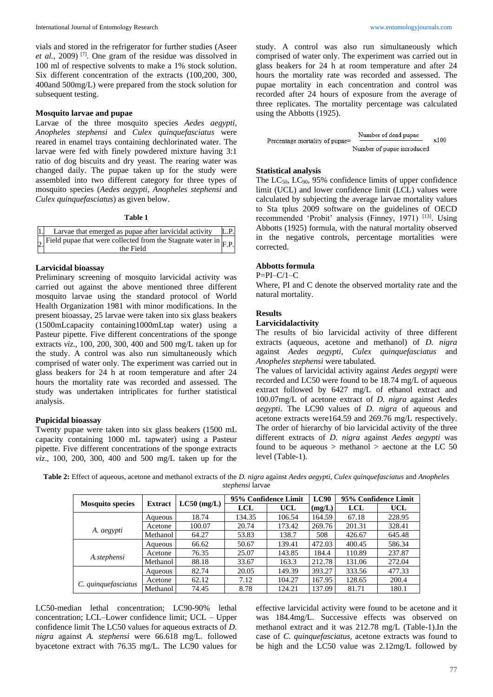vials and stored in the refrigerator for further studies (Aseer *et al.,* 2009) [7]. One gram of the residue was dissolved in 100 ml of respective solvents to make a 1% stock solution. Six different concentration of the extracts (100,200, 300, 400and 500mg/L) were prepared from the stock solution for subsequent testing.

## **Mosquito larvae and pupae**

Larvae of the three mosquito species *Aedes aegypti*, *Anopheles stephensi* and *Culex quinquefasciatus* were reared in enamel trays containing dechlorinated water. The larvae were fed with finely powdered mixture having 3:1 ratio of dog biscuits and dry yeast. The rearing water was changed daily. The pupae taken up for the study were assembled into two different category for three types of mosquito species (*Aedes aegypti, Anopheles stephensi* and *Culex quinquefasciatus*) as given below.

#### **Table 1**

| Larvae that emerged as pupae after larvicidal activity                                        | L.P. |
|-----------------------------------------------------------------------------------------------|------|
| $2$ Field pupae that were collected from the Stagnate water in $F_{\text{F.P.}}$<br>the Field |      |

## **Larvicidal bioassay**

Preliminary screening of mosquito larvicidal activity was carried out against the above mentioned three different mosquito larvae using the standard protocol of World Health Organization 1981 with minor modifications. In the present bioassay, 25 larvae were taken into six glass beakers (1500mLcapacity containing1000mLtap water) using a Pasteur pipette. Five different concentrations of the sponge extracts *viz*., 100, 200, 300, 400 and 500 mg/L taken up for the study. A control was also run simultaneously which comprised of water only. The experiment was carried out in glass beakers for 24 h at room temperature and after 24 hours the mortality rate was recorded and assessed. The study was undertaken intriplicates for further statistical analysis.

## **Pupicidal bioassay**

Twenty pupae were taken into six glass beakers (1500 mL capacity containing 1000 mL tapwater) using a Pasteur pipette. Five different concentrations of the sponge extracts *viz*., 100, 200, 300, 400 and 500 mg/L taken up for the study. A control was also run simultaneously which comprised of water only. The experiment was carried out in glass beakers for 24 h at room temperature and after 24 hours the mortality rate was recorded and assessed. The pupae mortality in each concentration and control was recorded after 24 hours of exposure from the average of three replicates. The mortality percentage was calculated using the Abbotts (1925).

$$
Percentage mortality of pupae = \frac{Number of dead pupae}{Number of pupae introduced} \times 100
$$

#### **Statistical analysis**

The  $LC_{50}$ ,  $LC_{90}$ , 95% confidence limits of upper confidence limit (UCL) and lower confidence limit (LCL) values were calculated by subjecting the average larvae mortality values to Sta tplus 2009 software on the guidelines of OECD recommended 'Probit' analysis (Finney, 1971) [13]. Using Abbotts (1925) formula, with the natural mortality observed in the negative controls, percentage mortalities were corrected.

#### **Abbotts formula**

#### P=PI–C/1–C

Where, PI and C denote the observed mortality rate and the natural mortality.

## **Results**

## **Larvicidalactivity**

The results of bio larvicidal activity of three different extracts (aqueous, acetone and methanol) of *D. nigra* against *Aedes aegypti, Culex quinquefasciatus* and *Anopheles stephensi* were tabulated.

The values of larvicidal activity against *Aedes aegypti* were recorded and LC50 were found to be 18.74 mg/L of aqueous extract followed by 6427 mg/L of ethanol extract and 100.07mg/L of acetone extract of *D. nigra* against *Aedes aegypti*. The LC90 values of *D. nigra* of aqueous and acetone extracts were164.59 and 269.76 mg/L respectively. The order of hierarchy of bio larvicidal activity of the three different extracts of *D. nigra* against *Aedes aegypti* was found to be aqueous  $>$  methanol  $>$  aectone at the LC 50 level (Table-1).

**Table 2:** Effect of aqueous, acetone and methanol extracts of the *D. nigra* against *Aedes aegypti, Culex quinquefasciatus* and *Anopheles stephensi* larvae

|                         |                |               |        | 95% Confidence Limit | $_{\rm LC90}$ |        | 95% Confidence Limit |
|-------------------------|----------------|---------------|--------|----------------------|---------------|--------|----------------------|
| <b>Mosquito species</b> | <b>Extract</b> | $LC50$ (mg/L) | LCL    | UCL                  | (mg/L)        | LCL    | UCL                  |
|                         | Aqueous        | 18.74         | 134.35 | 106.54               | 164.59        | 67.18  | 228.95               |
|                         | Acetone        | 100.07        | 20.74  | 173.42               | 269.76        | 201.31 | 328.41               |
| A. <i>aegypti</i>       | Methanol       | 64.27         | 53.83  | 138.7                | 508           | 426.67 | 645.48               |
|                         | Aqueous        | 66.62         | 50.67  | 139.41               | 472.03        | 400.45 | 586.34               |
| A.stephensi             | Acetone        | 76.35         | 25.07  | 143.85               | 184.4         | 110.89 | 237.87               |
|                         | Methanol       | 88.18         | 33.67  | 163.3                | 212.78        | 131.06 | 272.04               |
|                         | Aqueous        | 82.74         | 20.05  | 149.39               | 393.27        | 333.56 | 477.33               |
|                         | Acetone        | 62.12         | 7.12   | 104.27               | 167.95        | 128.65 | 200.4                |
| C. quinquefasciatus     | Methanol       | 74.45         | 8.78   | 124.21               | 137.09        | 81.71  | 180.1                |

LC50-median lethal concentration; LC90-90% lethal concentration; LCL–Lower confidence limit; UCL – Upper confidence limit The LC50 values for aqueous extracts of *D. nigra* against *A. stephensi* were 66.618 mg/L. followed byacetone extract with 76.35 mg/L. The LC90 values for

effective larvicidal activity were found to be acetone and it was 184.4mg/L. Successive effects was observed on methanol extract and it was 212.78 mg/L (Table-1).In the case of *C. quinquefasciatus,* acetone extracts was found to be high and the LC50 value was 2.12mg/L followed by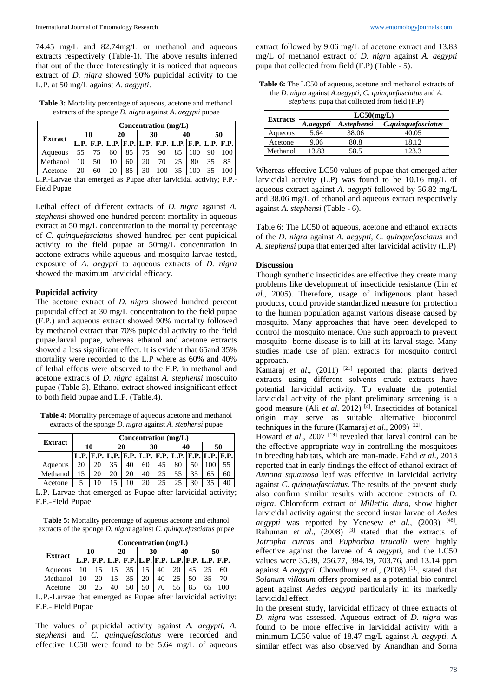74.45 mg/L and 82.74mg/L or methanol and aqueous extracts respectively (Table-1). The above results inferred that out of the three Interestingly it is noticed that aqueous extract of *D. nigra* showed 90% pupicidal activity to the L.P. at 50 mg/L against *A. aegypti*.

**Table 3:** Mortality percentage of aqueous, acetone and methanol extracts of the sponge *D. nigra* against *A. aegypti* pupae

|                                                               | Concentration (mg/L) |    |    |    |    |    |    |    |    |     |
|---------------------------------------------------------------|----------------------|----|----|----|----|----|----|----|----|-----|
| <b>Extract</b>                                                | 10                   |    | 20 |    | 30 |    | 40 |    | 50 |     |
|                                                               |                      |    |    |    |    |    |    |    |    |     |
| Aqueous                                                       | 55                   |    | 60 | 85 | 75 | 90 | 85 |    | 90 | 00  |
| Methanol                                                      | 10                   | 50 | 10 | 60 | 20 | 70 | 25 | 80 | 35 | 85  |
| Acetone                                                       | 20                   | 60 | 20 | 85 | 30 |    | 35 |    | 35 | 100 |
| I D Lerves that amargad as Dunas after large del activity. ED |                      |    |    |    |    |    |    |    |    |     |

arvae that emerged as Pupae after larvicidal activity; F.P.-Field Pupae

Lethal effect of different extracts of *D. nigra* against *A. stephensi* showed one hundred percent mortality in aqueous extract at 50 mg/L concentration to the mortality percentage of *C. quinquefasciatus* showed hundred per cent pupicidal activity to the field pupae at 50mg/L concentration in acetone extracts while aqueous and mosquito larvae tested, exposure of *A. aegypti* to aqueous extracts of *D. nigra*  showed the maximum larvicidal efficacy.

## **Pupicidal activity**

The acetone extract of *D. nigra* showed hundred percent pupicidal effect at 30 mg/L concentration to the field pupae (F.P.) and aqueous extract showed 90% mortality followed by methanol extract that 70% pupicidal activity to the field pupae.larval pupae, whereas ethanol and acetone extracts showed a less significant effect. It is evident that 65and 35% mortality were recorded to the L.P where as 60% and 40% of lethal effects were observed to the F.P. in methanol and acetone extracts of *D. nigra* against *A. stephensi* mosquito pupae (Table 3). Ethanol extract showed insignificant effect to both field pupae and L.P. (Table.4).

**Table 4:** Mortality percentage of aqueous acetone and methanol extracts of the sponge *D. nigra* against *A. stephensi* pupae

|                              | Concentration $(mg/L)$ |          |    |    |    |    |    |    |    |    |  |
|------------------------------|------------------------|----------|----|----|----|----|----|----|----|----|--|
| <b>Extract</b>               |                        | 10<br>20 |    |    | 30 |    | 40 |    | 50 |    |  |
|                              |                        |          |    |    |    |    |    |    |    |    |  |
| Aqueous                      | 20                     | 20       | 35 | 40 | 60 | 45 | 80 | 50 |    |    |  |
| Methanol                     |                        | 20       | 20 | 20 | 40 | 25 | 55 | 35 | 65 | 60 |  |
| Acetone                      |                        | 10       |    |    | 20 | 25 | 25 | 30 | 35 |    |  |
| 1 הויינות תוכן היה היה היה ה |                        |          |    |    |    |    |    |    |    |    |  |

L.P.-Larvae that emerged as Pupae after larvicidal activity; F.P.-Field Pupae

**Table 5:** Mortality percentage of aqueous acetone and ethanol extracts of the sponge *D. nigra* against *C. quinquefasciatus* pupae

|                |    | Concentration (mg/L) |                                                             |    |    |    |    |    |    |    |
|----------------|----|----------------------|-------------------------------------------------------------|----|----|----|----|----|----|----|
|                |    | 10                   | 20                                                          |    | 30 |    | 40 |    | 50 |    |
| <b>Extract</b> |    |                      | L.P. F.P. L.P. F.P. L.P. F.P. L.P. F.P. L.P. F.P. L.P. F.P. |    |    |    |    |    |    |    |
| Aqueous        | 10 |                      |                                                             | 35 |    | 40 | 20 |    |    | 60 |
| Methanol       |    | 20                   |                                                             | 35 | 20 | 40 | 25 | 50 |    |    |
| Acetone        | 30 |                      | 40                                                          |    |    |    |    |    |    |    |

L.P.-Larvae that emerged as Pupae after larvicidal activity: F.P.- Field Pupae

The values of pupicidal activity against *A. aegypti, A. stephensi* and *C. quinquefasciatus* were recorded and effective LC50 were found to be 5.64 mg/L of aqueous extract followed by 9.06 mg/L of acetone extract and 13.83 mg/L of methanol extract of *D. nigra* against *A. aegypti* pupa that collected from field (F.P) (Table - 5).

**Table 6:** The LC50 of aqueous, acetone and methanol extracts of the *D. nigra* against *A.aegypti, C. quinquefasciatus* and *A. stephensi* pupa that collected from field (F.P)

|                 | LC50(mg/L) |             |                    |  |  |  |  |  |  |
|-----------------|------------|-------------|--------------------|--|--|--|--|--|--|
| <b>Extracts</b> | A.aegypti  | A.stephensi | C.quinquefasciatus |  |  |  |  |  |  |
| Aqueous         | 5.64       | 38.06       | 40.05              |  |  |  |  |  |  |
| Acetone         | 9.06       | 80.8        | 18.12              |  |  |  |  |  |  |
| Methanol        | 13.83      | 58.5        | 123.3              |  |  |  |  |  |  |

Whereas effective LC50 values of pupae that emerged after larvicidal activity (L.P) was found to be 10.16 mg/L of aqueous extract against *A. aegypti* followed by 36.82 mg/L and 38.06 mg/L of ethanol and aqueous extract respectively against *A. stephensi* (Table - 6).

Table 6: The LC50 of aqueous, acetone and ethanol extracts of the *D. nigra* against *A. aegypti*, *C. quinquefasciatus* and *A. stephensi* pupa that emerged after larvicidal activity (L.P)

#### **Discussion**

Though synthetic insecticides are effective they create many problems like development of insecticide resistance (Lin *et al*., 2005). Therefore, usage of indigenous plant based products, could provide standardized measure for protection to the human population against various disease caused by mosquito. Many approaches that have been developed to control the mosquito menace. One such approach to prevent mosquito- borne disease is to kill at its larval stage. Many studies made use of plant extracts for mosquito control approach.

Kamaraj et al., (2011) <sup>[21]</sup> reported that plants derived extracts using different solvents crude extracts have potential larvicidal activity. To evaluate the potential larvicidal activity of the plant preliminary screening is a good measure (Ali *et al*. 2012) [4]. Insecticides of botanical origin may serve as suitable alternative biocontrol techniques in the future (Kamaraj et al., 2009)<sup>[22]</sup>.

Howard *et al.*, 2007<sup>[19]</sup> revealed that larval control can be the effective appropriate way in controlling the mosquitoes in breeding habitats, which are man-made. Fahd *et al*., 2013 reported that in early findings the effect of ethanol extract of *Annona squamosa* leaf was effective in larvicidal activity against *C. quinquefasciatus*. The results of the present study also confirm similar results with acetone extracts of *D. nigra*. Chloroform extract of *Millettia dura,* show higher larvicidal activity against the second instar larvae of *Aedes aegypti* was reported by Yenesew *et al*., (2003) [48] . Rahuman *et al.*,  $(2008)$ <sup>[3]</sup> stated that the extracts of *Jatropha curcas* and *Euphorbia tirucalli* were highly effective against the larvae of *A aegypti*, and the LC50 values were 35.39, 256.77, 384.19, 703.76, and 13.14 ppm against *A aegypti*. Chowdhury *et al*., (2008) [11], stated that *Solanum villosum* offers promised as a potential bio control agent against *Aedes aegypti* particularly in its markedly larvicidal effect.

In the present study, larvicidal efficacy of three extracts of *D. nigra* was assessed. Aqueous extract of *D. nigra* was found to be more effective in larvicidal activity with a minimum LC50 value of 18.47 mg/L against *A. aegypti.* A similar effect was also observed by Anandhan and Sorna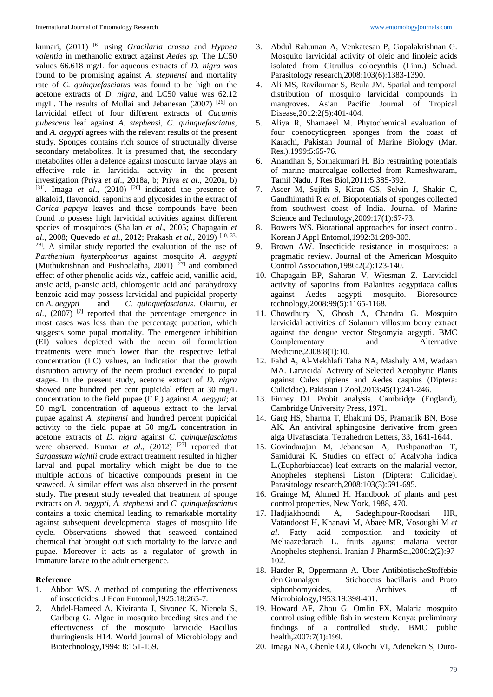kumari, (2011) [6] using *Gracilaria crassa* and *Hypnea valentia* in methanolic extract against *Aedes sp.* The LC50 values 66.618 mg/L for aqueous extracts of *D. nigra* was found to be promising against *A. stephensi* and mortality rate of *C. quinquefasciatus* was found to be high on the acetone extracts of *D. nigra*, and LC50 value was 62.12 mg/L. The results of Mullai and Jebanesan (2007) [26] on larvicidal effect of four different extracts of *Cucumis pubescens* leaf against *A. stephensi, C. quinquefasciatus*, and *A. aegypti* agrees with the relevant results of the present study. Sponges contains rich source of structurally diverse secondary metabolites. It is presumed that, the secondary metabolites offer a defence against mosquito larvae plays an effective role in larvicidal activity in the present investigation (Priya *et al*., 2018a, b; Priya *et al*., 2020a, b)  $[31]$ . Imaga *et al.*,  $(2010)$   $[20]$  indicated the presence of alkaloid, flavonoid, saponins and glycosides in the extract of *Carica papaya* leaves and these compounds have been found to possess high larvicidal activities against different species of mosquitoes (Shallan *et al*., 2005; Chapagain *et al*., 2008; Quevedo *et al*., 2012; Prakash *et al*., 2019) [10, 33,  $29$ . A similar study reported the evaluation of the use of *Parthenium hysterphourus* against mosquito *A. aegypti* (Muthukrishnan and Pushpalatha, 2001)  $[27]$  and combined effect of other phenolic acids *viz*., caffeic acid, vanillic acid, ansic acid, p-ansic acid, chlorogenic acid and parahydroxy benzoic acid may possess larvicidal and pupicidal property on *A. aegypti* and *C. quinquefasciatus*. Okumu, *et al*., (2007) [7] reported that the percentage emergence in most cases was less than the percentage pupation, which suggests some pupal mortality. The emergence inhibition (EI) values depicted with the neem oil formulation treatments were much lower than the respective lethal concentration (LC) values, an indication that the growth disruption activity of the neem product extended to pupal stages. In the present study, acetone extract of *D. nigra*  showed one hundred per cent pupicidal effect at 30 mg/L concentration to the field pupae (F.P.) against *A. aegypti*; at 50 mg/L concentration of aqueous extract to the larval pupae against *A. stephensi* and hundred percent pupicidal activity to the field pupae at 50 mg/L concentration in acetone extracts of *D. nigra* against *C. quinquefasciatus* were observed. Kumar *et al*., (2012) [23] reported that *Sargassum wightii* crude extract treatment resulted in higher larval and pupal mortality which might be due to the multiple actions of bioactive compounds present in the seaweed. A similar effect was also observed in the present study. The present study revealed that treatment of sponge extracts on *A. aegypti, A. stephensi* and *C. quinquefasciatus* contains a toxic chemical leading to remarkable mortality against subsequent developmental stages of mosquito life cycle. Observations showed that seaweed contained chemical that brought out such mortality to the larvae and pupae. Moreover it acts as a regulator of growth in immature larvae to the adult emergence.

#### **Reference**

- 1. Abbott WS. A method of computing the effectiveness of insecticides. J Econ Entomol,1925:18:265-7.
- 2. Abdel-Hameed A, Kiviranta J, Sivonec K, Nienela S, Carlberg G. Algae in mosquito breeding sites and the effectiveness of the mosquito larvicide Bacillus thuringiensis H14. World journal of Microbiology and Biotechnology,1994: 8:151-159.
- 3. Abdul Rahuman A, Venkatesan P, Gopalakrishnan G. Mosquito larvicidal activity of oleic and linoleic acids isolated from Citrullus colocynthis (Linn.) Schrad. Parasitology research,2008:103(6):1383-1390.
- 4. Ali MS, Ravikumar S, Beula JM. Spatial and temporal distribution of mosquito larvicidal compounds in mangroves. Asian Pacific Journal of Tropical Disease,2012:2(5):401-404.
- 5. Aliya R, Shamaeel M. Phytochemical evaluation of four coenocyticgreen sponges from the coast of Karachi, Pakistan Journal of Marine Biology (Mar. Res.),1999:5:65-76.
- 6. Anandhan S, Sornakumari H. Bio restraining potentials of marine macroalgae collected from Rameshwaram, Tamil Nadu. J Res Biol,2011:5:385-392.
- 7. Aseer M, Sujith S, Kiran GS, Selvin J, Shakir C, Gandhimathi R *et al*. Biopotentials of sponges collected from southwest coast of India. Journal of Marine Science and Technology,2009:17(1):67-73.
- Bowers WS. Biorational approaches for insect control. Korean J Appl Entomol,1992:31:289-303.
- 9. Brown AW. Insecticide resistance in mosquitoes: a pragmatic review. Journal of the American Mosquito Control Association,1986:2(2):123-140.
- 10. Chapagain BP, Saharan V, Wiesman Z. Larvicidal activity of saponins from Balanites aegyptiaca callus against Aedes aegypti mosquito. Bioresource technology,2008:99(5):1165-1168.
- 11. Chowdhury N, Ghosh A, Chandra G. Mosquito larvicidal activities of Solanum villosum berry extract against the dengue vector Stegomyia aegypti. BMC Complementary and Alternative Medicine,2008:8(1):10.
- 12. Fahd A, Al-Mekhlafi Taha NA, Mashaly AM, Wadaan MA. Larvicidal Activity of Selected Xerophytic Plants against Culex pipiens and Aedes caspius (Diptera: Culicidae). Pakistan J Zool,2013:45(1):241-246.
- 13. Finney DJ. Probit analysis. Cambridge (England), Cambridge University Press, 1971.
- 14. Garg HS, Sharma T, Bhakuni DS, Pramanik BN, Bose AK. An antiviral sphingosine derivative from green alga Ulvafasciata, Tetrahedron Letters, 33, 1641-1644.
- 15. Govindarajan M, Jebanesan A, Pushpanathan T, Samidurai K. Studies on effect of Acalypha indica L.(Euphorbiaceae) leaf extracts on the malarial vector, Anopheles stephensi Liston (Diptera: Culicidae). Parasitology research,2008:103(3):691-695.
- 16. Grainge M, Ahmed H. Handbook of plants and pest control properties, New York, 1988, 470.
- 17. Hadjiakhoondi A, Sadeghipour-Roodsari HR, Vatandoost H, Khanavi M, Abaee MR, Vosoughi M *et al*. Fatty acid composition and toxicity of Meliaazedarach L. fruits against malaria vector Anopheles stephensi. Iranian J PharmSci,2006:2(2):97- 102.
- 18. Harder R, Oppermann A. Uber AntibiotischeStoffebie den Grunalgen Stichoccus bacillaris and Proto siphonbomyoides, Archives of Microbiology,1953:19:398-401.
- 19. Howard AF, Zhou G, Omlin FX. Malaria mosquito control using edible fish in western Kenya: preliminary findings of a controlled study. BMC public health,2007:7(1):199.
- 20. Imaga NA, Gbenle GO, Okochi VI, Adenekan S, Duro-